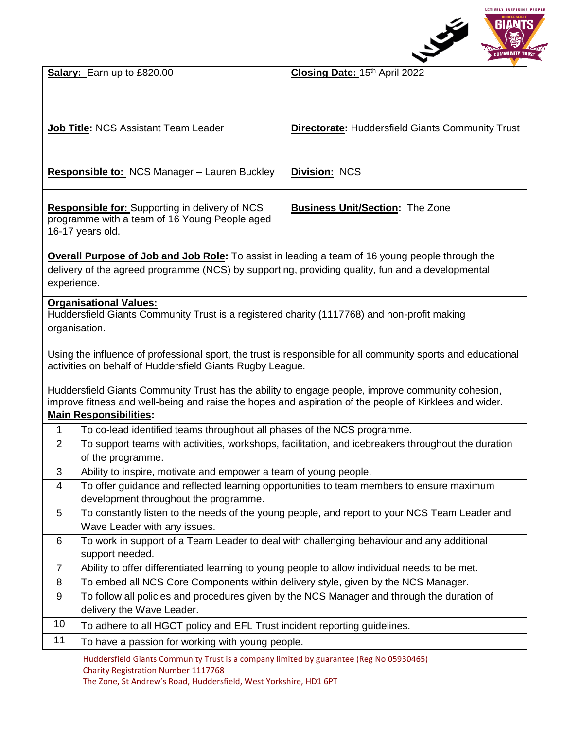

|                                                                                                                                                                                                                           | Salary: Earn up to £820.00                                                                                              | Closing Date: 15th April 2022                                                                      |
|---------------------------------------------------------------------------------------------------------------------------------------------------------------------------------------------------------------------------|-------------------------------------------------------------------------------------------------------------------------|----------------------------------------------------------------------------------------------------|
|                                                                                                                                                                                                                           | <b>Job Title: NCS Assistant Team Leader</b>                                                                             | <b>Directorate:</b> Huddersfield Giants Community Trust                                            |
| <b>Responsible to: NCS Manager - Lauren Buckley</b>                                                                                                                                                                       |                                                                                                                         | <b>Division: NCS</b>                                                                               |
| <b>Responsible for:</b> Supporting in delivery of NCS<br>programme with a team of 16 Young People aged<br>16-17 years old.                                                                                                |                                                                                                                         | <b>Business Unit/Section: The Zone</b>                                                             |
| <b>Overall Purpose of Job and Job Role:</b> To assist in leading a team of 16 young people through the<br>delivery of the agreed programme (NCS) by supporting, providing quality, fun and a developmental<br>experience. |                                                                                                                         |                                                                                                    |
| <b>Organisational Values:</b><br>Huddersfield Giants Community Trust is a registered charity (1117768) and non-profit making<br>organisation.                                                                             |                                                                                                                         |                                                                                                    |
| Using the influence of professional sport, the trust is responsible for all community sports and educational<br>activities on behalf of Huddersfield Giants Rugby League.                                                 |                                                                                                                         |                                                                                                    |
| Huddersfield Giants Community Trust has the ability to engage people, improve community cohesion,<br>improve fitness and well-being and raise the hopes and aspiration of the people of Kirklees and wider.               |                                                                                                                         |                                                                                                    |
| <b>Main Responsibilities:</b>                                                                                                                                                                                             |                                                                                                                         |                                                                                                    |
| $\mathbf 1$                                                                                                                                                                                                               | To co-lead identified teams throughout all phases of the NCS programme.                                                 |                                                                                                    |
| 2                                                                                                                                                                                                                         | of the programme.                                                                                                       | To support teams with activities, workshops, facilitation, and icebreakers throughout the duration |
| 3                                                                                                                                                                                                                         | Ability to inspire, motivate and empower a team of young people.                                                        |                                                                                                    |
| 4                                                                                                                                                                                                                         | development throughout the programme.                                                                                   | To offer guidance and reflected learning opportunities to team members to ensure maximum           |
| 5                                                                                                                                                                                                                         |                                                                                                                         | To constantly listen to the needs of the young people, and report to your NCS Team Leader and      |
|                                                                                                                                                                                                                           | Wave Leader with any issues.                                                                                            |                                                                                                    |
| 6                                                                                                                                                                                                                         | To work in support of a Team Leader to deal with challenging behaviour and any additional                               |                                                                                                    |
|                                                                                                                                                                                                                           | support needed.                                                                                                         |                                                                                                    |
| $\overline{7}$                                                                                                                                                                                                            | Ability to offer differentiated learning to young people to allow individual needs to be met.                           |                                                                                                    |
| 8                                                                                                                                                                                                                         | To embed all NCS Core Components within delivery style, given by the NCS Manager.                                       |                                                                                                    |
| 9                                                                                                                                                                                                                         | To follow all policies and procedures given by the NCS Manager and through the duration of<br>delivery the Wave Leader. |                                                                                                    |
| 10                                                                                                                                                                                                                        | To adhere to all HGCT policy and EFL Trust incident reporting guidelines.                                               |                                                                                                    |
| 11                                                                                                                                                                                                                        | To have a passion for working with young people.                                                                        |                                                                                                    |
|                                                                                                                                                                                                                           | Huddersfield Giants Community Trust is a company limited by guarantee (Reg No 05930465)                                 |                                                                                                    |

Charity Registration Number 1117768

The Zone, St Andrew's Road, Huddersfield, West Yorkshire, HD1 6PT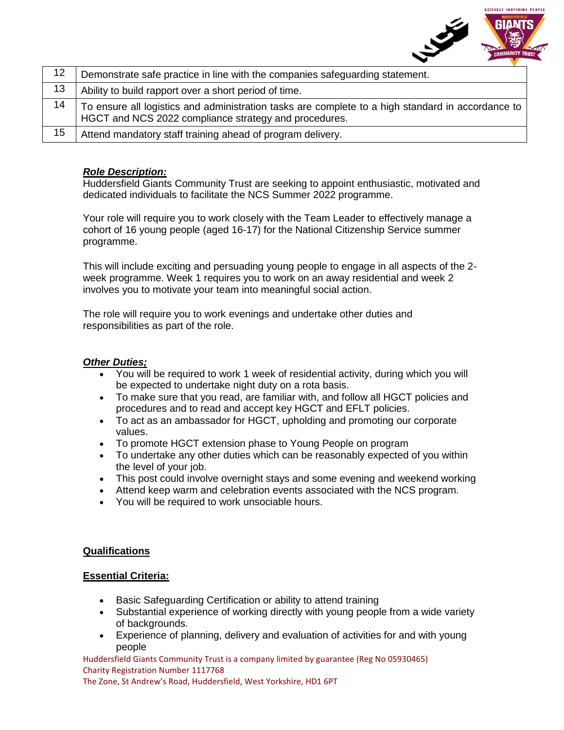

| 12 | Demonstrate safe practice in line with the companies safeguarding statement.                                                                               |
|----|------------------------------------------------------------------------------------------------------------------------------------------------------------|
| 13 | Ability to build rapport over a short period of time.                                                                                                      |
| 14 | To ensure all logistics and administration tasks are complete to a high standard in accordance to<br>HGCT and NCS 2022 compliance strategy and procedures. |
| 15 | Attend mandatory staff training ahead of program delivery.                                                                                                 |

## *Role Description:*

Huddersfield Giants Community Trust are seeking to appoint enthusiastic, motivated and dedicated individuals to facilitate the NCS Summer 2022 programme.

Your role will require you to work closely with the Team Leader to effectively manage a cohort of 16 young people (aged 16-17) for the National Citizenship Service summer programme.

This will include exciting and persuading young people to engage in all aspects of the 2 week programme. Week 1 requires you to work on an away residential and week 2 involves you to motivate your team into meaningful social action.

The role will require you to work evenings and undertake other duties and responsibilities as part of the role.

## *Other Duties;*

- You will be required to work 1 week of residential activity, during which you will be expected to undertake night duty on a rota basis.
- To make sure that you read, are familiar with, and follow all HGCT policies and procedures and to read and accept key HGCT and EFLT policies.
- To act as an ambassador for HGCT, upholding and promoting our corporate values.
- To promote HGCT extension phase to Young People on program
- To undertake any other duties which can be reasonably expected of you within the level of your job.
- This post could involve overnight stays and some evening and weekend working
- Attend keep warm and celebration events associated with the NCS program.
- You will be required to work unsociable hours.

## **Qualifications**

#### **Essential Criteria:**

- Basic Safeguarding Certification or ability to attend training
- Substantial experience of working directly with young people from a wide variety of backgrounds.
- Experience of planning, delivery and evaluation of activities for and with young people

Huddersfield Giants Community Trust is a company limited by guarantee (Reg No 05930465) Charity Registration Number 1117768

The Zone, St Andrew's Road, Huddersfield, West Yorkshire, HD1 6PT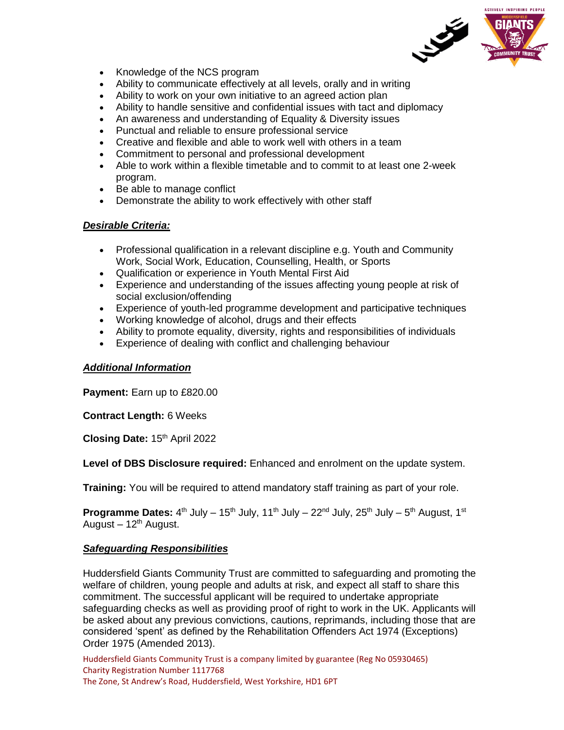

- Knowledge of the NCS program
- Ability to communicate effectively at all levels, orally and in writing
- Ability to work on your own initiative to an agreed action plan
- Ability to handle sensitive and confidential issues with tact and diplomacy
- An awareness and understanding of Equality & Diversity issues
- Punctual and reliable to ensure professional service
- Creative and flexible and able to work well with others in a team
- Commitment to personal and professional development
- Able to work within a flexible timetable and to commit to at least one 2-week program.
- Be able to manage conflict
- Demonstrate the ability to work effectively with other staff

## *Desirable Criteria:*

- Professional qualification in a relevant discipline e.g. Youth and Community Work, Social Work, Education, Counselling, Health, or Sports
- Qualification or experience in Youth Mental First Aid
- Experience and understanding of the issues affecting young people at risk of social exclusion/offending
- Experience of youth-led programme development and participative techniques
- Working knowledge of alcohol, drugs and their effects
- Ability to promote equality, diversity, rights and responsibilities of individuals
- Experience of dealing with conflict and challenging behaviour

#### *Additional Information*

**Payment:** Earn up to £820.00

**Contract Length:** 6 Weeks

**Closing Date: 15th April 2022** 

**Level of DBS Disclosure required:** Enhanced and enrolment on the update system.

**Training:** You will be required to attend mandatory staff training as part of your role.

**Programme Dates:** 4<sup>th</sup> July – 15<sup>th</sup> July, 11<sup>th</sup> July – 22<sup>nd</sup> July, 25<sup>th</sup> July – 5<sup>th</sup> August, 1<sup>st</sup> August –  $12<sup>th</sup>$  August.

#### *Safeguarding Responsibilities*

Huddersfield Giants Community Trust are committed to safeguarding and promoting the welfare of children, young people and adults at risk, and expect all staff to share this commitment. The successful applicant will be required to undertake appropriate safeguarding checks as well as providing proof of right to work in the UK. Applicants will be asked about any previous convictions, cautions, reprimands, including those that are considered 'spent' as defined by the Rehabilitation Offenders Act 1974 (Exceptions) Order 1975 (Amended 2013).

Huddersfield Giants Community Trust is a company limited by guarantee (Reg No 05930465) Charity Registration Number 1117768 The Zone, St Andrew's Road, Huddersfield, West Yorkshire, HD1 6PT